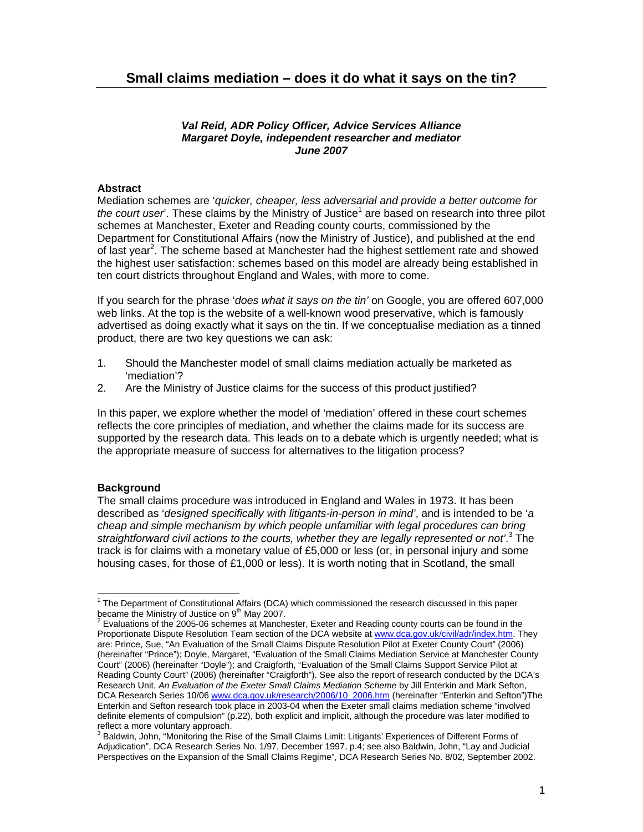### *Val Reid, ADR Policy Officer, Advice Services Alliance Margaret Doyle, independent researcher and mediator June 2007*

# **Abstract**

Mediation schemes are '*quicker, cheaper, less adversarial and provide a better outcome for*  the court user'. These claims by the Ministry of Justice<sup>1</sup> are based on research into three pilot schemes at Manchester, Exeter and Reading county courts, commissioned by the Department for Constitutional Affairs (now the Ministry of Justice), and published at the end of last year<sup>2</sup>. The scheme based at Manchester had the highest settlement rate and showed the highest user satisfaction: schemes based on this model are already being established in ten court districts throughout England and Wales, with more to come.

If you search for the phrase '*does what it says on the tin'* on Google, you are offered 607,000 web links. At the top is the website of a well-known wood preservative, which is famously advertised as doing exactly what it says on the tin. If we conceptualise mediation as a tinned product, there are two key questions we can ask:

- 1. Should the Manchester model of small claims mediation actually be marketed as 'mediation'?
- 2. Are the Ministry of Justice claims for the success of this product justified?

In this paper, we explore whether the model of 'mediation' offered in these court schemes reflects the core principles of mediation, and whether the claims made for its success are supported by the research data. This leads on to a debate which is urgently needed; what is the appropriate measure of success for alternatives to the litigation process?

# **Background**

The small claims procedure was introduced in England and Wales in 1973. It has been described as '*designed specifically with litigants-in-person in mind'*, and is intended to be '*a cheap and simple mechanism by which people unfamiliar with legal procedures can bring*  straightforward civil actions to the courts, whether they are legally represented or not'.<sup>3</sup> The track is for claims with a monetary value of £5,000 or less (or, in personal injury and some housing cases, for those of £1,000 or less). It is worth noting that in Scotland, the small

 1 The Department of Constitutional Affairs (DCA) which commissioned the research discussed in this paper became the Ministry of Justice on 9<sup>th</sup> May 2007.

 $2$  Evaluations of the 2005-06 schemes at Manchester, Exeter and Reading county courts can be found in the Proportionate Dispute Resolution Team section of the DCA website at www.dca.gov.uk/civil/adr/index.htm. They are: Prince, Sue, "An Evaluation of the Small Claims Dispute Resolution Pilot at Exeter County Court" (2006) (hereinafter "Prince"); Doyle, Margaret, "Evaluation of the Small Claims Mediation Service at Manchester County Court" (2006) (hereinafter "Doyle"); and Craigforth, "Evaluation of the Small Claims Support Service Pilot at Reading County Court" (2006) (hereinafter "Craigforth"). See also the report of research conducted by the DCA's Research Unit, *An Evaluation of the Exeter Small Claims Mediation Scheme* by Jill Enterkin and Mark Sefton, DCA Research Series 10/06 www.dca.gov.uk/research/2006/10\_2006.htm (hereinafter "Enterkin and Sefton")The Enterkin and Sefton research took place in 2003-04 when the Exeter small claims mediation scheme "involved definite elements of compulsion" (p.22), both explicit and implicit, although the procedure was later modified to reflect a more voluntary approach.

<sup>&</sup>lt;sup>3</sup> Baldwin, John, "Monitoring the Rise of the Small Claims Limit: Litigants' Experiences of Different Forms of Adjudication", DCA Research Series No. 1/97, December 1997, p.4; see also Baldwin, John, "Lay and Judicial Perspectives on the Expansion of the Small Claims Regime", DCA Research Series No. 8/02, September 2002.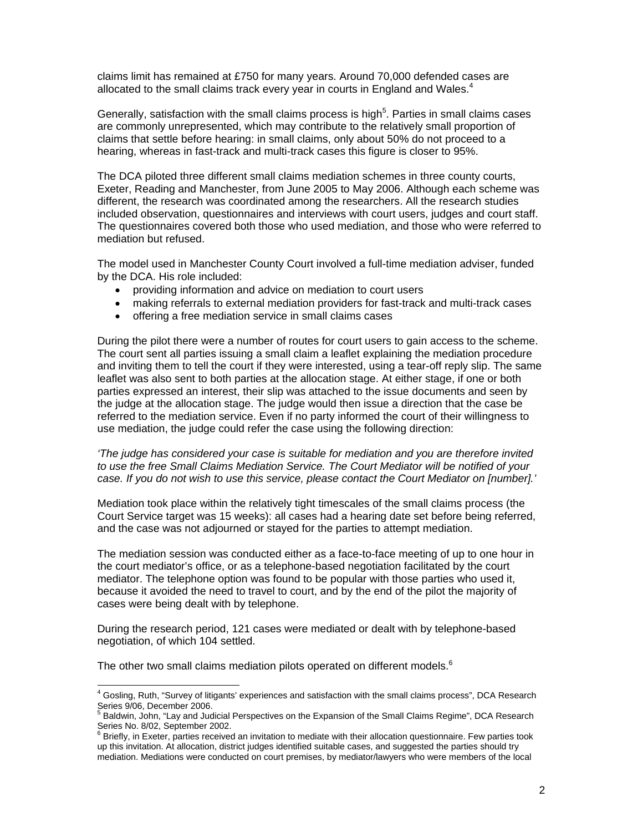claims limit has remained at £750 for many years. Around 70,000 defended cases are allocated to the small claims track every year in courts in England and Wales.<sup>4</sup>

Generally, satisfaction with the small claims process is high<sup>5</sup>. Parties in small claims cases are commonly unrepresented, which may contribute to the relatively small proportion of claims that settle before hearing: in small claims, only about 50% do not proceed to a hearing, whereas in fast-track and multi-track cases this figure is closer to 95%.

The DCA piloted three different small claims mediation schemes in three county courts, Exeter, Reading and Manchester, from June 2005 to May 2006. Although each scheme was different, the research was coordinated among the researchers. All the research studies included observation, questionnaires and interviews with court users, judges and court staff. The questionnaires covered both those who used mediation, and those who were referred to mediation but refused.

The model used in Manchester County Court involved a full-time mediation adviser, funded by the DCA. His role included:

- providing information and advice on mediation to court users
- making referrals to external mediation providers for fast-track and multi-track cases
- offering a free mediation service in small claims cases

During the pilot there were a number of routes for court users to gain access to the scheme. The court sent all parties issuing a small claim a leaflet explaining the mediation procedure and inviting them to tell the court if they were interested, using a tear-off reply slip. The same leaflet was also sent to both parties at the allocation stage. At either stage, if one or both parties expressed an interest, their slip was attached to the issue documents and seen by the judge at the allocation stage. The judge would then issue a direction that the case be referred to the mediation service. Even if no party informed the court of their willingness to use mediation, the judge could refer the case using the following direction:

*'The judge has considered your case is suitable for mediation and you are therefore invited to use the free Small Claims Mediation Service. The Court Mediator will be notified of your case. If you do not wish to use this service, please contact the Court Mediator on [number].'* 

Mediation took place within the relatively tight timescales of the small claims process (the Court Service target was 15 weeks): all cases had a hearing date set before being referred, and the case was not adjourned or stayed for the parties to attempt mediation.

The mediation session was conducted either as a face-to-face meeting of up to one hour in the court mediator's office, or as a telephone-based negotiation facilitated by the court mediator. The telephone option was found to be popular with those parties who used it, because it avoided the need to travel to court, and by the end of the pilot the majority of cases were being dealt with by telephone.

During the research period, 121 cases were mediated or dealt with by telephone-based negotiation, of which 104 settled.

The other two small claims mediation pilots operated on different models.<sup>6</sup>

l

<sup>4</sup> Gosling, Ruth, "Survey of litigants' experiences and satisfaction with the small claims process", DCA Research Series 9/06, December 2006.<br><sup>5</sup> Boldwin, John "Lav and Judi

Baldwin, John, "Lay and Judicial Perspectives on the Expansion of the Small Claims Regime", DCA Research

Series No. 8/02, September 2002.<br><sup>6</sup> Briefly, in Exeter, parties received an invitation to mediate with their allocation questionnaire. Few parties took up this invitation. At allocation, district judges identified suitable cases, and suggested the parties should try mediation. Mediations were conducted on court premises, by mediator/lawyers who were members of the local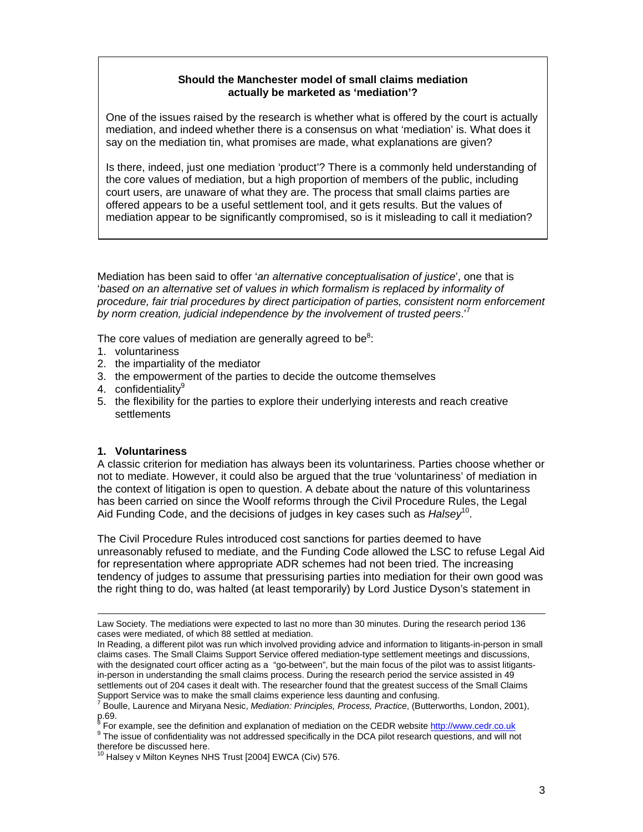# **Should the Manchester model of small claims mediation actually be marketed as 'mediation'?**

One of the issues raised by the research is whether what is offered by the court is actually mediation, and indeed whether there is a consensus on what 'mediation' is. What does it say on the mediation tin, what promises are made, what explanations are given?

Is there, indeed, just one mediation 'product'? There is a commonly held understanding of the core values of mediation, but a high proportion of members of the public, including court users, are unaware of what they are. The process that small claims parties are offered appears to be a useful settlement tool, and it gets results. But the values of mediation appear to be significantly compromised, so is it misleading to call it mediation?

Mediation has been said to offer '*an alternative conceptualisation of justice*', one that is 'based on an alternative set of values in which formalism is replaced by informality of *procedure, fair trial procedures by direct participation of parties, consistent norm enforcement by norm creation, judicial independence by the involvement of trusted peers*.'<sup>7</sup>

The core values of mediation are generally agreed to be $8$ :

- 1. voluntariness
- 2. the impartiality of the mediator
- 3. the empowerment of the parties to decide the outcome themselves
- 4. confidentialitv<sup>9</sup>
- 5. the flexibility for the parties to explore their underlying interests and reach creative settlements

# **1. Voluntariness**

A classic criterion for mediation has always been its voluntariness. Parties choose whether or not to mediate. However, it could also be argued that the true 'voluntariness' of mediation in the context of litigation is open to question. A debate about the nature of this voluntariness has been carried on since the Woolf reforms through the Civil Procedure Rules, the Legal Aid Funding Code, and the decisions of judges in key cases such as *Halsey*10.

The Civil Procedure Rules introduced cost sanctions for parties deemed to have unreasonably refused to mediate, and the Funding Code allowed the LSC to refuse Legal Aid for representation where appropriate ADR schemes had not been tried. The increasing tendency of judges to assume that pressurising parties into mediation for their own good was the right thing to do, was halted (at least temporarily) by Lord Justice Dyson's statement in

Law Society. The mediations were expected to last no more than 30 minutes. During the research period 136 cases were mediated, of which 88 settled at mediation.

In Reading, a different pilot was run which involved providing advice and information to litigants-in-person in small claims cases. The Small Claims Support Service offered mediation-type settlement meetings and discussions, with the designated court officer acting as a "go-between", but the main focus of the pilot was to assist litigantsin-person in understanding the small claims process. During the research period the service assisted in 49 settlements out of 204 cases it dealt with. The researcher found that the greatest success of the Small Claims Support Service was to make the small claims experience less daunting and confusing.<br><sup>7</sup> Baulle Lourence and Minigna Nacia *Modiation: Principles, Process, Proting*, (Buttori

Boulle, Laurence and Miryana Nesic, *Mediation: Principles, Process, Practice*, (Butterworths, London, 2001), p.69.<br><sup>8</sup> Eer

<sup>°</sup> For example, see the definition and explanation of mediation on the CEDR website <u>http://www.cedr.co.uk</u><br><sup>9</sup> The issue of confidentiality was not addressed specifically in the DCA pilot research questions, and will not therefore be discussed here.

<sup>&</sup>lt;sup>10</sup> Halsey v Milton Keynes NHS Trust [2004] EWCA (Civ) 576.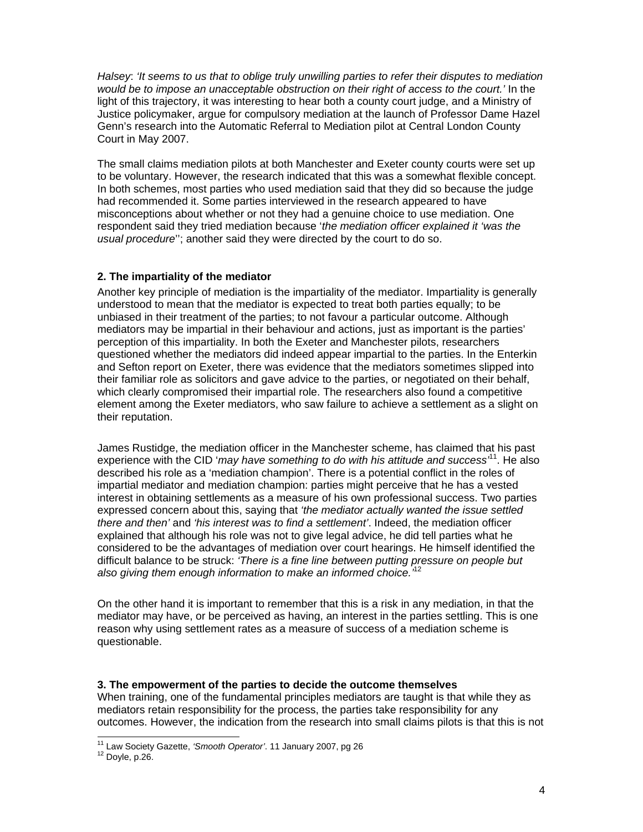*Halsey*: *'It seems to us that to oblige truly unwilling parties to refer their disputes to mediation would be to impose an unacceptable obstruction on their right of access to the court.'* In the light of this trajectory, it was interesting to hear both a county court judge, and a Ministry of Justice policymaker, argue for compulsory mediation at the launch of Professor Dame Hazel Genn's research into the Automatic Referral to Mediation pilot at Central London County Court in May 2007.

The small claims mediation pilots at both Manchester and Exeter county courts were set up to be voluntary. However, the research indicated that this was a somewhat flexible concept. In both schemes, most parties who used mediation said that they did so because the judge had recommended it. Some parties interviewed in the research appeared to have misconceptions about whether or not they had a genuine choice to use mediation. One respondent said they tried mediation because '*the mediation officer explained it 'was the usual procedure*''; another said they were directed by the court to do so.

# **2. The impartiality of the mediator**

Another key principle of mediation is the impartiality of the mediator. Impartiality is generally understood to mean that the mediator is expected to treat both parties equally; to be unbiased in their treatment of the parties; to not favour a particular outcome. Although mediators may be impartial in their behaviour and actions, just as important is the parties' perception of this impartiality. In both the Exeter and Manchester pilots, researchers questioned whether the mediators did indeed appear impartial to the parties. In the Enterkin and Sefton report on Exeter, there was evidence that the mediators sometimes slipped into their familiar role as solicitors and gave advice to the parties, or negotiated on their behalf, which clearly compromised their impartial role. The researchers also found a competitive element among the Exeter mediators, who saw failure to achieve a settlement as a slight on their reputation.

James Rustidge, the mediation officer in the Manchester scheme, has claimed that his past experience with the CID '*may have something to do with his attitude and success'*11. He also described his role as a 'mediation champion'. There is a potential conflict in the roles of impartial mediator and mediation champion: parties might perceive that he has a vested interest in obtaining settlements as a measure of his own professional success. Two parties expressed concern about this, saying that *'the mediator actually wanted the issue settled there and then'* and *'his interest was to find a settlement'*. Indeed, the mediation officer explained that although his role was not to give legal advice, he did tell parties what he considered to be the advantages of mediation over court hearings. He himself identified the difficult balance to be struck: *'There is a fine line between putting pressure on people but also giving them enough information to make an informed choice.'*<sup>12</sup>

On the other hand it is important to remember that this is a risk in any mediation, in that the mediator may have, or be perceived as having, an interest in the parties settling. This is one reason why using settlement rates as a measure of success of a mediation scheme is questionable.

### **3. The empowerment of the parties to decide the outcome themselves**

When training, one of the fundamental principles mediators are taught is that while they as mediators retain responsibility for the process, the parties take responsibility for any outcomes. However, the indication from the research into small claims pilots is that this is not

 $\overline{a}$ 

<sup>&</sup>lt;sup>11</sup> Law Society Gazette, *'Smooth Operator'*. 11 January 2007, pg 26<br><sup>12</sup> Doyle, p.26.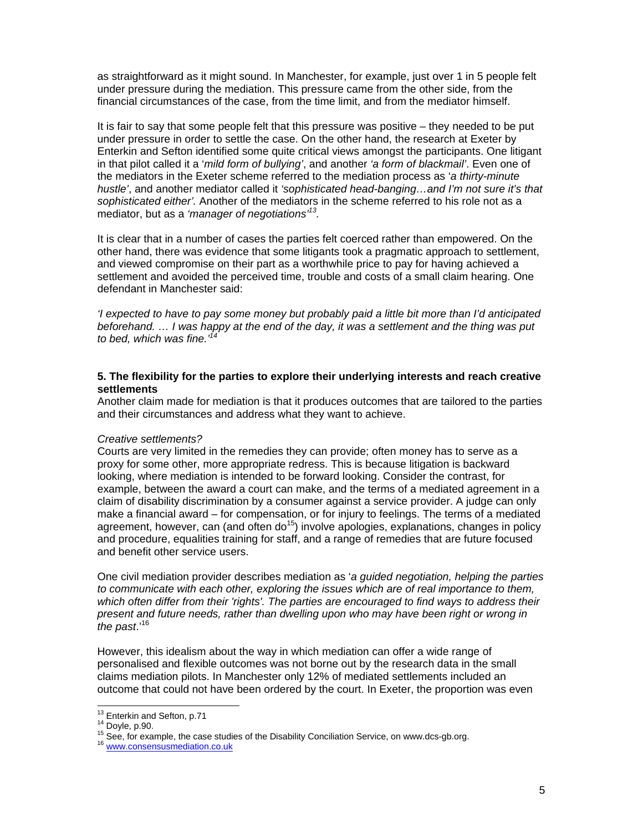as straightforward as it might sound. In Manchester, for example, just over 1 in 5 people felt under pressure during the mediation. This pressure came from the other side, from the financial circumstances of the case, from the time limit, and from the mediator himself.

It is fair to say that some people felt that this pressure was positive – they needed to be put under pressure in order to settle the case. On the other hand, the research at Exeter by Enterkin and Sefton identified some quite critical views amongst the participants. One litigant in that pilot called it a '*mild form of bullying'*, and another *'a form of blackmail'*. Even one of the mediators in the Exeter scheme referred to the mediation process as '*a thirty-minute hustle'*, and another mediator called it *'sophisticated head-banging…and I'm not sure it's that sophisticated either'.* Another of the mediators in the scheme referred to his role not as a mediator, but as a *'manager of negotiations'13.* 

It is clear that in a number of cases the parties felt coerced rather than empowered. On the other hand, there was evidence that some litigants took a pragmatic approach to settlement, and viewed compromise on their part as a worthwhile price to pay for having achieved a settlement and avoided the perceived time, trouble and costs of a small claim hearing. One defendant in Manchester said:

*'I expected to have to pay some money but probably paid a little bit more than I'd anticipated beforehand. … I was happy at the end of the day, it was a settlement and the thing was put to bed, which was fine.'14*

### **5. The flexibility for the parties to explore their underlying interests and reach creative settlements**

Another claim made for mediation is that it produces outcomes that are tailored to the parties and their circumstances and address what they want to achieve.

### *Creative settlements?*

Courts are very limited in the remedies they can provide; often money has to serve as a proxy for some other, more appropriate redress. This is because litigation is backward looking, where mediation is intended to be forward looking. Consider the contrast, for example, between the award a court can make, and the terms of a mediated agreement in a claim of disability discrimination by a consumer against a service provider. A judge can only make a financial award – for compensation, or for injury to feelings. The terms of a mediated agreement, however, can (and often do<sup>15</sup>) involve apologies, explanations, changes in policy and procedure, equalities training for staff, and a range of remedies that are future focused and benefit other service users.

One civil mediation provider describes mediation as '*a guided negotiation, helping the parties to communicate with each other, exploring the issues which are of real importance to them, which often differ from their 'rights'. The parties are encouraged to find ways to address their present and future needs, rather than dwelling upon who may have been right or wrong in the past*.'16

However, this idealism about the way in which mediation can offer a wide range of personalised and flexible outcomes was not borne out by the research data in the small claims mediation pilots. In Manchester only 12% of mediated settlements included an outcome that could not have been ordered by the court. In Exeter, the proportion was even

<sup>&</sup>lt;sup>13</sup> Enterkin and Sefton, p.71

<sup>14</sup> Entertin and Sefton, p.90.<br>15 See, for example, the case studies of the Disability Conciliation Service, on www.dcs-gb.org.<br><sup>16</sup> www.consensusmediation.co.uk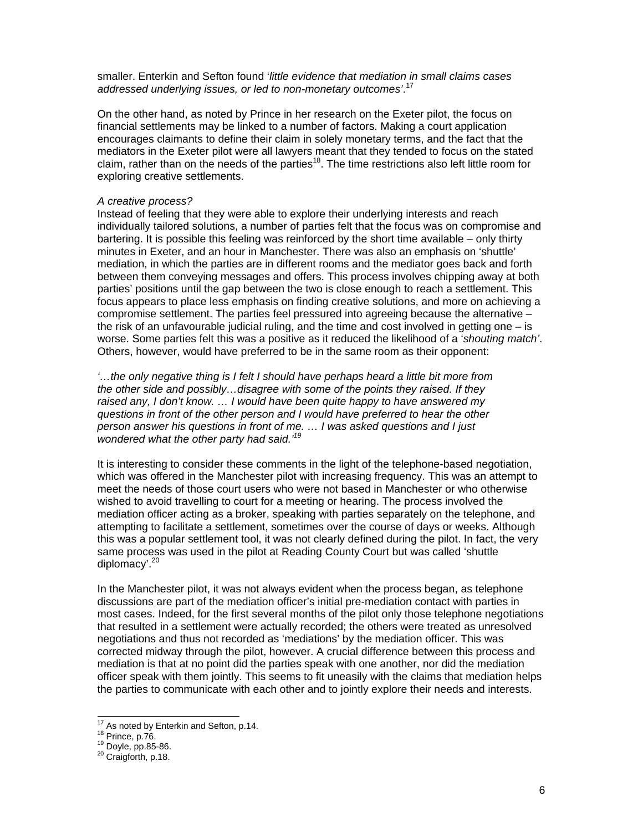smaller. Enterkin and Sefton found '*little evidence that mediation in small claims cases addressed underlying issues, or led to non-monetary outcomes'*. 17

On the other hand, as noted by Prince in her research on the Exeter pilot, the focus on financial settlements may be linked to a number of factors. Making a court application encourages claimants to define their claim in solely monetary terms, and the fact that the mediators in the Exeter pilot were all lawyers meant that they tended to focus on the stated claim, rather than on the needs of the parties<sup>18</sup>. The time restrictions also left little room for exploring creative settlements.

#### *A creative process?*

Instead of feeling that they were able to explore their underlying interests and reach individually tailored solutions, a number of parties felt that the focus was on compromise and bartering. It is possible this feeling was reinforced by the short time available – only thirty minutes in Exeter, and an hour in Manchester. There was also an emphasis on 'shuttle' mediation, in which the parties are in different rooms and the mediator goes back and forth between them conveying messages and offers. This process involves chipping away at both parties' positions until the gap between the two is close enough to reach a settlement. This focus appears to place less emphasis on finding creative solutions, and more on achieving a compromise settlement. The parties feel pressured into agreeing because the alternative – the risk of an unfavourable judicial ruling, and the time and cost involved in getting one  $-$  is worse. Some parties felt this was a positive as it reduced the likelihood of a '*shouting match'*. Others, however, would have preferred to be in the same room as their opponent:

*'…the only negative thing is I felt I should have perhaps heard a little bit more from the other side and possibly…disagree with some of the points they raised. If they raised any, I don't know. … I would have been quite happy to have answered my questions in front of the other person and I would have preferred to hear the other person answer his questions in front of me. … I was asked questions and I just wondered what the other party had said.'19*

It is interesting to consider these comments in the light of the telephone-based negotiation, which was offered in the Manchester pilot with increasing frequency. This was an attempt to meet the needs of those court users who were not based in Manchester or who otherwise wished to avoid travelling to court for a meeting or hearing. The process involved the mediation officer acting as a broker, speaking with parties separately on the telephone, and attempting to facilitate a settlement, sometimes over the course of days or weeks. Although this was a popular settlement tool, it was not clearly defined during the pilot. In fact, the very same process was used in the pilot at Reading County Court but was called 'shuttle diplomacy'.20

In the Manchester pilot, it was not always evident when the process began, as telephone discussions are part of the mediation officer's initial pre-mediation contact with parties in most cases. Indeed, for the first several months of the pilot only those telephone negotiations that resulted in a settlement were actually recorded; the others were treated as unresolved negotiations and thus not recorded as 'mediations' by the mediation officer. This was corrected midway through the pilot, however. A crucial difference between this process and mediation is that at no point did the parties speak with one another, nor did the mediation officer speak with them jointly. This seems to fit uneasily with the claims that mediation helps the parties to communicate with each other and to jointly explore their needs and interests.

l

<sup>&</sup>lt;sup>17</sup> As noted by Enterkin and Sefton, p.14.<br><sup>18</sup> Prince, p.76.<br><sup>19</sup> Doyle, pp.85-86. <sup>20</sup> Craigforth, p.18.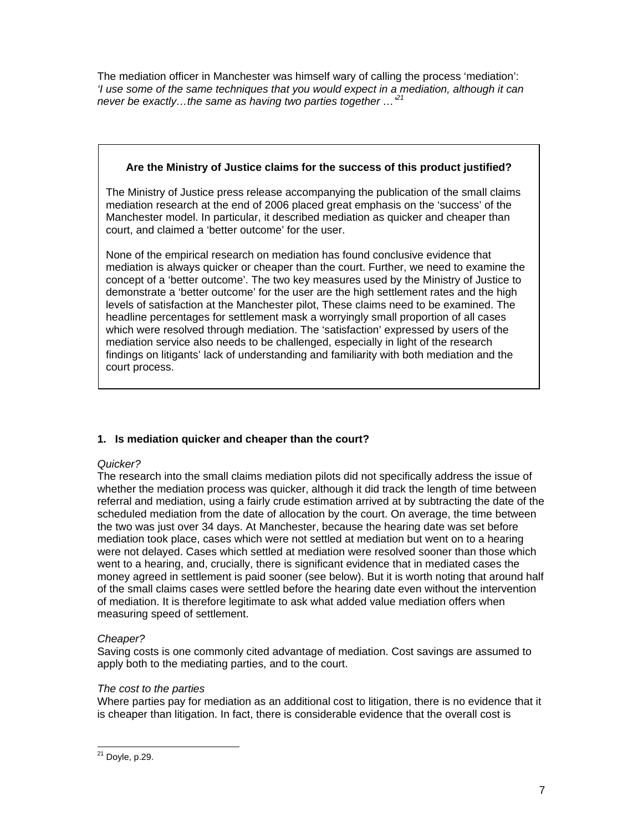The mediation officer in Manchester was himself wary of calling the process 'mediation': *'I use some of the same techniques that you would expect in a mediation, although it can never be exactly…the same as having two parties together …'21*

# **Are the Ministry of Justice claims for the success of this product justified?**

The Ministry of Justice press release accompanying the publication of the small claims mediation research at the end of 2006 placed great emphasis on the 'success' of the Manchester model. In particular, it described mediation as quicker and cheaper than court, and claimed a 'better outcome' for the user.

None of the empirical research on mediation has found conclusive evidence that mediation is always quicker or cheaper than the court. Further, we need to examine the concept of a 'better outcome'. The two key measures used by the Ministry of Justice to demonstrate a 'better outcome' for the user are the high settlement rates and the high levels of satisfaction at the Manchester pilot, These claims need to be examined. The headline percentages for settlement mask a worryingly small proportion of all cases which were resolved through mediation. The 'satisfaction' expressed by users of the mediation service also needs to be challenged, especially in light of the research findings on litigants' lack of understanding and familiarity with both mediation and the court process.

# **1. Is mediation quicker and cheaper than the court?**

# *Quicker?*

The research into the small claims mediation pilots did not specifically address the issue of whether the mediation process was quicker, although it did track the length of time between referral and mediation, using a fairly crude estimation arrived at by subtracting the date of the scheduled mediation from the date of allocation by the court. On average, the time between the two was just over 34 days. At Manchester, because the hearing date was set before mediation took place, cases which were not settled at mediation but went on to a hearing were not delayed. Cases which settled at mediation were resolved sooner than those which went to a hearing, and, crucially, there is significant evidence that in mediated cases the money agreed in settlement is paid sooner (see below). But it is worth noting that around half of the small claims cases were settled before the hearing date even without the intervention of mediation. It is therefore legitimate to ask what added value mediation offers when measuring speed of settlement.

# *Cheaper?*

Saving costs is one commonly cited advantage of mediation. Cost savings are assumed to apply both to the mediating parties, and to the court.

# *The cost to the parties*

Where parties pay for mediation as an additional cost to litigation, there is no evidence that it is cheaper than litigation. In fact, there is considerable evidence that the overall cost is

l <sup>21</sup> Doyle, p.29.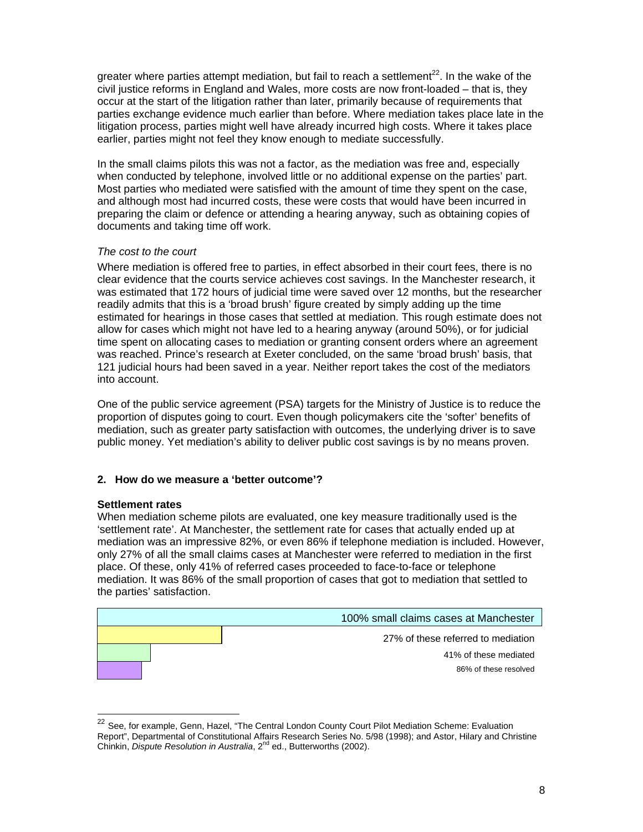greater where parties attempt mediation, but fail to reach a settlement<sup>22</sup>. In the wake of the civil justice reforms in England and Wales, more costs are now front-loaded – that is, they occur at the start of the litigation rather than later, primarily because of requirements that parties exchange evidence much earlier than before. Where mediation takes place late in the litigation process, parties might well have already incurred high costs. Where it takes place earlier, parties might not feel they know enough to mediate successfully.

In the small claims pilots this was not a factor, as the mediation was free and, especially when conducted by telephone, involved little or no additional expense on the parties' part. Most parties who mediated were satisfied with the amount of time they spent on the case, and although most had incurred costs, these were costs that would have been incurred in preparing the claim or defence or attending a hearing anyway, such as obtaining copies of documents and taking time off work.

# *The cost to the court*

Where mediation is offered free to parties, in effect absorbed in their court fees, there is no clear evidence that the courts service achieves cost savings. In the Manchester research, it was estimated that 172 hours of judicial time were saved over 12 months, but the researcher readily admits that this is a 'broad brush' figure created by simply adding up the time estimated for hearings in those cases that settled at mediation. This rough estimate does not allow for cases which might not have led to a hearing anyway (around 50%), or for judicial time spent on allocating cases to mediation or granting consent orders where an agreement was reached. Prince's research at Exeter concluded, on the same 'broad brush' basis, that 121 judicial hours had been saved in a year. Neither report takes the cost of the mediators into account.

One of the public service agreement (PSA) targets for the Ministry of Justice is to reduce the proportion of disputes going to court. Even though policymakers cite the 'softer' benefits of mediation, such as greater party satisfaction with outcomes, the underlying driver is to save public money. Yet mediation's ability to deliver public cost savings is by no means proven.

# **2. How do we measure a 'better outcome'?**

### **Settlement rates**

l

When mediation scheme pilots are evaluated, one key measure traditionally used is the 'settlement rate'. At Manchester, the settlement rate for cases that actually ended up at mediation was an impressive 82%, or even 86% if telephone mediation is included. However, only 27% of all the small claims cases at Manchester were referred to mediation in the first place. Of these, only 41% of referred cases proceeded to face-to-face or telephone mediation. It was 86% of the small proportion of cases that got to mediation that settled to the parties' satisfaction.



<sup>&</sup>lt;sup>22</sup> See, for example, Genn, Hazel, "The Central London County Court Pilot Mediation Scheme: Evaluation Report", Departmental of Constitutional Affairs Research Series No. 5/98 (1998); and Astor, Hilary and Christine Chinkin, *Dispute Resolution in Australia*, 2nd ed., Butterworths (2002).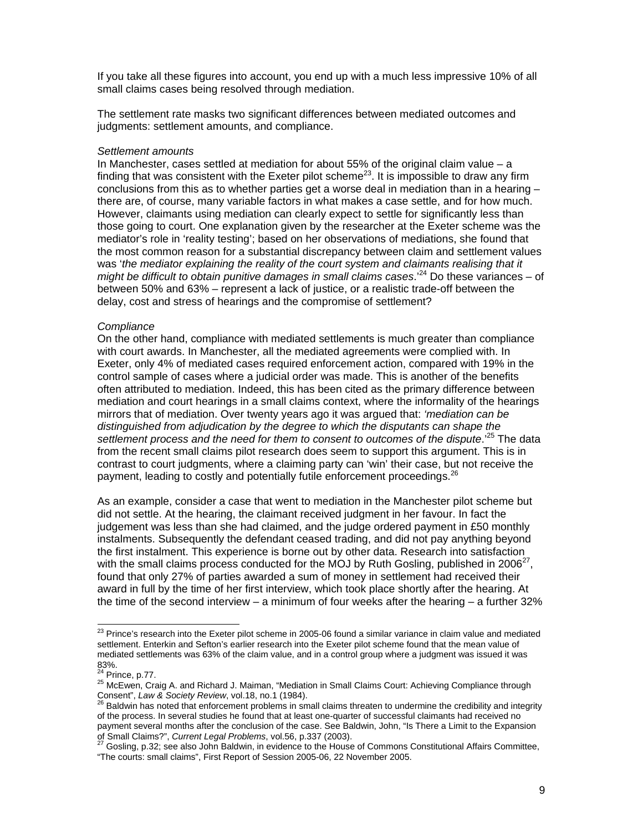If you take all these figures into account, you end up with a much less impressive 10% of all small claims cases being resolved through mediation.

The settlement rate masks two significant differences between mediated outcomes and judgments: settlement amounts, and compliance.

### *Settlement amounts*

In Manchester, cases settled at mediation for about 55% of the original claim value – a finding that was consistent with the Exeter pilot scheme<sup>23</sup>. It is impossible to draw any firm conclusions from this as to whether parties get a worse deal in mediation than in a hearing – there are, of course, many variable factors in what makes a case settle, and for how much. However, claimants using mediation can clearly expect to settle for significantly less than those going to court. One explanation given by the researcher at the Exeter scheme was the mediator's role in 'reality testing'; based on her observations of mediations, she found that the most common reason for a substantial discrepancy between claim and settlement values was '*the mediator explaining the reality of the court system and claimants realising that it might be difficult to obtain punitive damages in small claims cases.*<sup>24</sup> Do these variances – of between 50% and 63% – represent a lack of justice, or a realistic trade-off between the delay, cost and stress of hearings and the compromise of settlement?

### *Compliance*

On the other hand, compliance with mediated settlements is much greater than compliance with court awards. In Manchester, all the mediated agreements were complied with. In Exeter, only 4% of mediated cases required enforcement action, compared with 19% in the control sample of cases where a judicial order was made. This is another of the benefits often attributed to mediation. Indeed, this has been cited as the primary difference between mediation and court hearings in a small claims context, where the informality of the hearings mirrors that of mediation. Over twenty years ago it was argued that: *'mediation can be distinguished from adjudication by the degree to which the disputants can shape the*  settlement process and the need for them to consent to outcomes of the dispute.<sup>25</sup> The data from the recent small claims pilot research does seem to support this argument. This is in contrast to court judgments, where a claiming party can 'win' their case, but not receive the payment, leading to costly and potentially futile enforcement proceedings.<sup>26</sup>

As an example, consider a case that went to mediation in the Manchester pilot scheme but did not settle. At the hearing, the claimant received judgment in her favour. In fact the judgement was less than she had claimed, and the judge ordered payment in £50 monthly instalments. Subsequently the defendant ceased trading, and did not pay anything beyond the first instalment. This experience is borne out by other data. Research into satisfaction with the small claims process conducted for the MOJ by Ruth Gosling, published in 2006<sup>27</sup>, found that only 27% of parties awarded a sum of money in settlement had received their award in full by the time of her first interview, which took place shortly after the hearing. At the time of the second interview – a minimum of four weeks after the hearing – a further 32%

 $\overline{a}$ 

 $^{23}$  Prince's research into the Exeter pilot scheme in 2005-06 found a similar variance in claim value and mediated settlement. Enterkin and Sefton's earlier research into the Exeter pilot scheme found that the mean value of mediated settlements was 63% of the claim value, and in a control group where a judgment was issued it was 83%.<br><sup>24</sup> Prince, p.77.

<sup>&</sup>lt;sup>25</sup> McEwen, Craig A. and Richard J. Maiman, "Mediation in Small Claims Court: Achieving Compliance through<br>Consent", Law & Society Review, vol.18, no.1 (1984).<br><sup>26</sup> Bolduin bes acted that acteurs

Baldwin has noted that enforcement problems in small claims threaten to undermine the credibility and integrity of the process. In several studies he found that at least one-quarter of successful claimants had received no payment several months after the conclusion of the case. See Baldwin, John, "Is There a Limit to the Expansion of Small Claims?", *Current Legal Problems*, vol.56, p.337 (2003). 27<br><sup>27</sup> Gosling, p.32; see also John Baldwin, in evidence to the House of Commons Constitutional Affairs Committee,

<sup>&</sup>quot;The courts: small claims", First Report of Session 2005-06, 22 November 2005.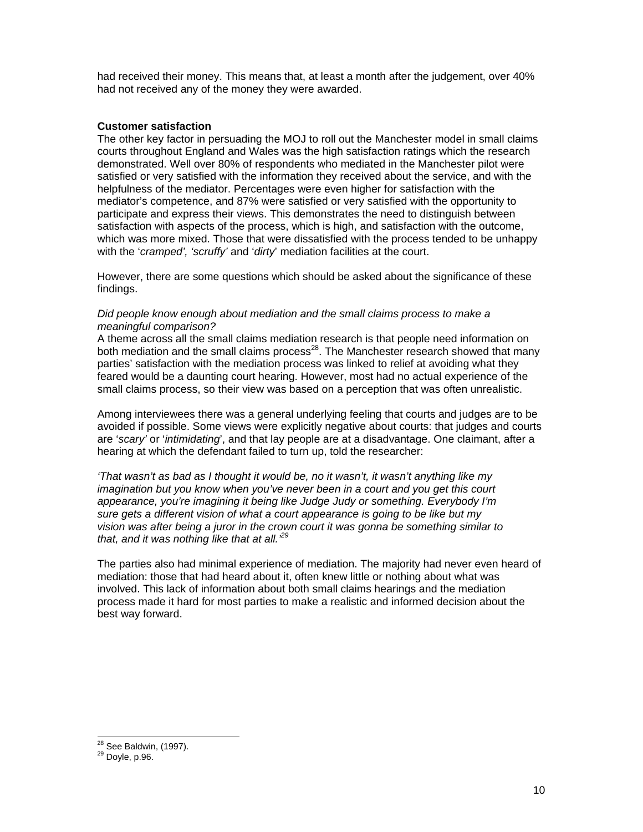had received their money. This means that, at least a month after the judgement, over 40% had not received any of the money they were awarded.

### **Customer satisfaction**

The other key factor in persuading the MOJ to roll out the Manchester model in small claims courts throughout England and Wales was the high satisfaction ratings which the research demonstrated. Well over 80% of respondents who mediated in the Manchester pilot were satisfied or very satisfied with the information they received about the service, and with the helpfulness of the mediator. Percentages were even higher for satisfaction with the mediator's competence, and 87% were satisfied or very satisfied with the opportunity to participate and express their views. This demonstrates the need to distinguish between satisfaction with aspects of the process, which is high, and satisfaction with the outcome, which was more mixed. Those that were dissatisfied with the process tended to be unhappy with the '*cramped', 'scruffy'* and '*dirty*' mediation facilities at the court.

However, there are some questions which should be asked about the significance of these findings.

### *Did people know enough about mediation and the small claims process to make a meaningful comparison?*

A theme across all the small claims mediation research is that people need information on both mediation and the small claims process<sup>28</sup>. The Manchester research showed that many parties' satisfaction with the mediation process was linked to relief at avoiding what they feared would be a daunting court hearing. However, most had no actual experience of the small claims process, so their view was based on a perception that was often unrealistic.

Among interviewees there was a general underlying feeling that courts and judges are to be avoided if possible. Some views were explicitly negative about courts: that judges and courts are '*scary'* or '*intimidating*', and that lay people are at a disadvantage. One claimant, after a hearing at which the defendant failed to turn up, told the researcher:

*'That wasn't as bad as I thought it would be, no it wasn't, it wasn't anything like my imagination but you know when you've never been in a court and you get this court appearance, you're imagining it being like Judge Judy or something. Everybody I'm sure gets a different vision of what a court appearance is going to be like but my vision was after being a juror in the crown court it was gonna be something similar to that, and it was nothing like that at all.'29* 

The parties also had minimal experience of mediation. The majority had never even heard of mediation: those that had heard about it, often knew little or nothing about what was involved. This lack of information about both small claims hearings and the mediation process made it hard for most parties to make a realistic and informed decision about the best way forward.

 $\overline{a}$ 

<sup>&</sup>lt;sup>28</sup> See Baldwin, (1997).<br><sup>29</sup> Doyle, p.96.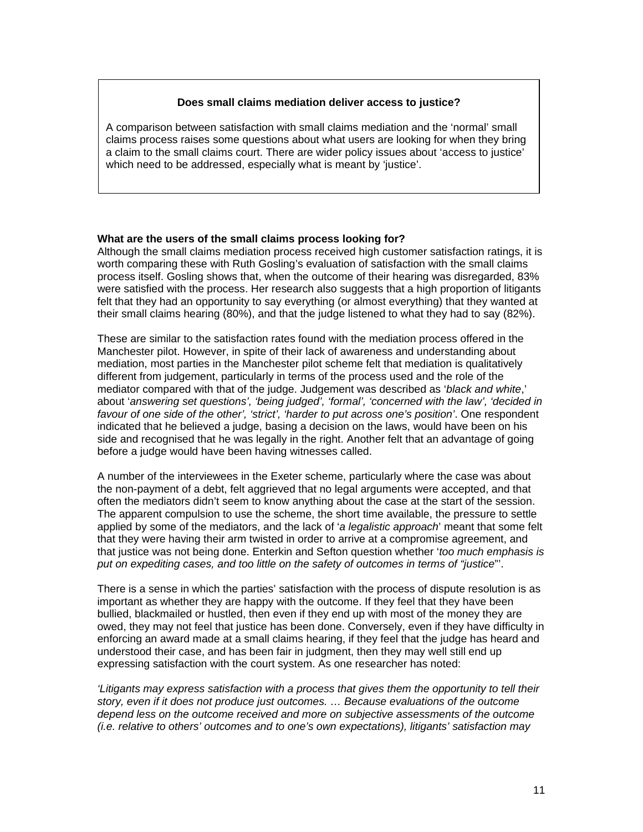### **Does small claims mediation deliver access to justice?**

A comparison between satisfaction with small claims mediation and the 'normal' small claims process raises some questions about what users are looking for when they bring a claim to the small claims court. There are wider policy issues about 'access to justice' which need to be addressed, especially what is meant by 'justice'.

### **What are the users of the small claims process looking for?**

Although the small claims mediation process received high customer satisfaction ratings, it is worth comparing these with Ruth Gosling's evaluation of satisfaction with the small claims process itself. Gosling shows that, when the outcome of their hearing was disregarded, 83% were satisfied with the process. Her research also suggests that a high proportion of litigants felt that they had an opportunity to say everything (or almost everything) that they wanted at their small claims hearing (80%), and that the judge listened to what they had to say (82%).

These are similar to the satisfaction rates found with the mediation process offered in the Manchester pilot. However, in spite of their lack of awareness and understanding about mediation, most parties in the Manchester pilot scheme felt that mediation is qualitatively different from judgement, particularly in terms of the process used and the role of the mediator compared with that of the judge. Judgement was described as '*black and white*,' about '*answering set questions', 'being judged', 'formal', 'concerned with the law', 'decided in favour of one side of the other', 'strict', 'harder to put across one's position'*. One respondent indicated that he believed a judge, basing a decision on the laws, would have been on his side and recognised that he was legally in the right. Another felt that an advantage of going before a judge would have been having witnesses called.

A number of the interviewees in the Exeter scheme, particularly where the case was about the non-payment of a debt, felt aggrieved that no legal arguments were accepted, and that often the mediators didn't seem to know anything about the case at the start of the session. The apparent compulsion to use the scheme, the short time available, the pressure to settle applied by some of the mediators, and the lack of '*a legalistic approach*' meant that some felt that they were having their arm twisted in order to arrive at a compromise agreement, and that justice was not being done. Enterkin and Sefton question whether '*too much emphasis is put on expediting cases, and too little on the safety of outcomes in terms of "justice*"'.

There is a sense in which the parties' satisfaction with the process of dispute resolution is as important as whether they are happy with the outcome. If they feel that they have been bullied, blackmailed or hustled, then even if they end up with most of the money they are owed, they may not feel that justice has been done. Conversely, even if they have difficulty in enforcing an award made at a small claims hearing, if they feel that the judge has heard and understood their case, and has been fair in judgment, then they may well still end up expressing satisfaction with the court system. As one researcher has noted:

*'Litigants may express satisfaction with a process that gives them the opportunity to tell their story, even if it does not produce just outcomes. … Because evaluations of the outcome depend less on the outcome received and more on subjective assessments of the outcome (i.e. relative to others' outcomes and to one's own expectations), litigants' satisfaction may*